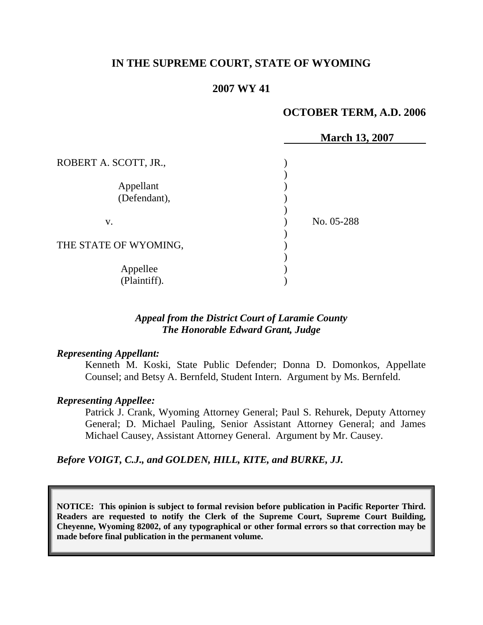# **IN THE SUPREME COURT, STATE OF WYOMING**

# **2007 WY 41**

## **OCTOBER TERM, A.D. 2006**

|                       | <b>March 13, 2007</b> |
|-----------------------|-----------------------|
| ROBERT A. SCOTT, JR., |                       |
| Appellant             |                       |
| (Defendant),          |                       |
| V.                    | No. 05-288            |
|                       |                       |
| THE STATE OF WYOMING, |                       |
| Appellee              |                       |
| (Plaintiff).          |                       |

## *Appeal from the District Court of Laramie County The Honorable Edward Grant, Judge*

### *Representing Appellant:*

Kenneth M. Koski, State Public Defender; Donna D. Domonkos, Appellate Counsel; and Betsy A. Bernfeld, Student Intern. Argument by Ms. Bernfeld.

### *Representing Appellee:*

Patrick J. Crank, Wyoming Attorney General; Paul S. Rehurek, Deputy Attorney General; D. Michael Pauling, Senior Assistant Attorney General; and James Michael Causey, Assistant Attorney General. Argument by Mr. Causey.

*Before VOIGT, C.J., and GOLDEN, HILL, KITE, and BURKE, JJ.*

**NOTICE: This opinion is subject to formal revision before publication in Pacific Reporter Third. Readers are requested to notify the Clerk of the Supreme Court, Supreme Court Building, Cheyenne, Wyoming 82002, of any typographical or other formal errors so that correction may be made before final publication in the permanent volume.**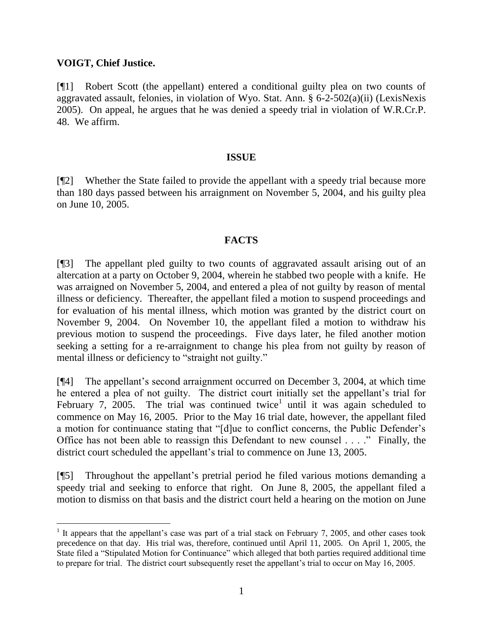## **VOIGT, Chief Justice.**

 $\overline{a}$ 

[¶1] Robert Scott (the appellant) entered a conditional guilty plea on two counts of aggravated assault, felonies, in violation of Wyo. Stat. Ann. § 6-2-502(a)(ii) (LexisNexis 2005). On appeal, he argues that he was denied a speedy trial in violation of W.R.Cr.P. 48. We affirm.

### **ISSUE**

[¶2] Whether the State failed to provide the appellant with a speedy trial because more than 180 days passed between his arraignment on November 5, 2004, and his guilty plea on June 10, 2005.

## **FACTS**

[¶3] The appellant pled guilty to two counts of aggravated assault arising out of an altercation at a party on October 9, 2004, wherein he stabbed two people with a knife. He was arraigned on November 5, 2004, and entered a plea of not guilty by reason of mental illness or deficiency. Thereafter, the appellant filed a motion to suspend proceedings and for evaluation of his mental illness, which motion was granted by the district court on November 9, 2004. On November 10, the appellant filed a motion to withdraw his previous motion to suspend the proceedings. Five days later, he filed another motion seeking a setting for a re-arraignment to change his plea from not guilty by reason of mental illness or deficiency to "straight not guilty."

[¶4] The appellant's second arraignment occurred on December 3, 2004, at which time he entered a plea of not guilty. The district court initially set the appellant's trial for February 7, 2005. The trial was continued twice<sup>1</sup> until it was again scheduled to commence on May 16, 2005. Prior to the May 16 trial date, however, the appellant filed a motion for continuance stating that "[d]ue to conflict concerns, the Public Defender's Office has not been able to reassign this Defendant to new counsel . . . ." Finally, the district court scheduled the appellant's trial to commence on June 13, 2005.

[¶5] Throughout the appellant's pretrial period he filed various motions demanding a speedy trial and seeking to enforce that right. On June 8, 2005, the appellant filed a motion to dismiss on that basis and the district court held a hearing on the motion on June

<sup>&</sup>lt;sup>1</sup> It appears that the appellant's case was part of a trial stack on February 7, 2005, and other cases took precedence on that day. His trial was, therefore, continued until April 11, 2005. On April 1, 2005, the State filed a "Stipulated Motion for Continuance" which alleged that both parties required additional time to prepare for trial. The district court subsequently reset the appellant's trial to occur on May 16, 2005.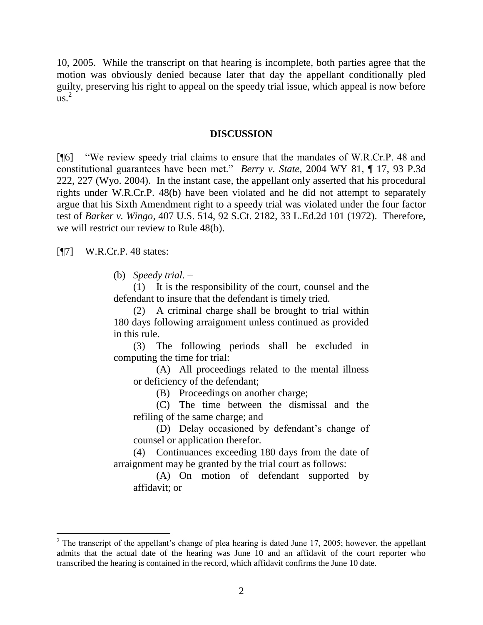10, 2005. While the transcript on that hearing is incomplete, both parties agree that the motion was obviously denied because later that day the appellant conditionally pled guilty, preserving his right to appeal on the speedy trial issue, which appeal is now before  $\overline{\text{us.}}^2$ 

#### **DISCUSSION**

[¶6] "We review speedy trial claims to ensure that the mandates of W.R.Cr.P. 48 and constitutional guarantees have been met." *Berry v. State*, 2004 WY 81, ¶ 17, 93 P.3d 222, 227 (Wyo. 2004). In the instant case, the appellant only asserted that his procedural rights under W.R.Cr.P. 48(b) have been violated and he did not attempt to separately argue that his Sixth Amendment right to a speedy trial was violated under the four factor test of *Barker v. Wingo*, 407 U.S. 514, 92 S.Ct. 2182, 33 L.Ed.2d 101 (1972). Therefore, we will restrict our review to Rule 48(b).

[¶7] W.R.Cr.P. 48 states:

(b) *Speedy trial.* –

(1) It is the responsibility of the court, counsel and the defendant to insure that the defendant is timely tried.

(2) A criminal charge shall be brought to trial within 180 days following arraignment unless continued as provided in this rule.

(3) The following periods shall be excluded in computing the time for trial:

(A) All proceedings related to the mental illness or deficiency of the defendant;

(B) Proceedings on another charge;

(C) The time between the dismissal and the refiling of the same charge; and

(D) Delay occasioned by defendant's change of counsel or application therefor.

(4) Continuances exceeding 180 days from the date of arraignment may be granted by the trial court as follows:

(A) On motion of defendant supported by affidavit; or

 $2^2$  The transcript of the appellant's change of plea hearing is dated June 17, 2005; however, the appellant admits that the actual date of the hearing was June 10 and an affidavit of the court reporter who transcribed the hearing is contained in the record, which affidavit confirms the June 10 date.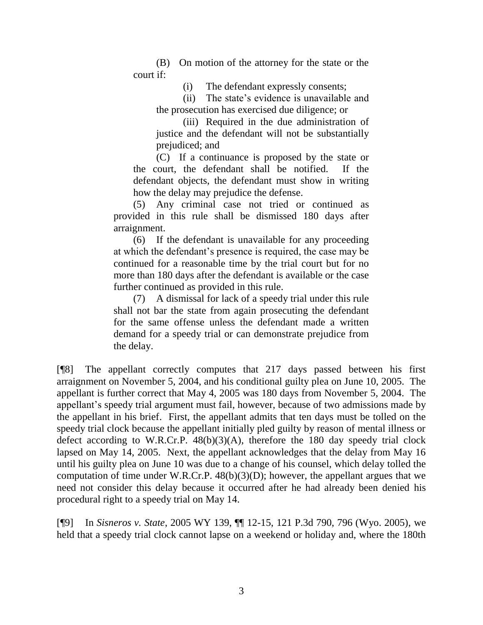(B) On motion of the attorney for the state or the court if:

(i) The defendant expressly consents;

(ii) The state's evidence is unavailable and the prosecution has exercised due diligence; or

(iii) Required in the due administration of justice and the defendant will not be substantially prejudiced; and

(C) If a continuance is proposed by the state or the court, the defendant shall be notified. If the defendant objects, the defendant must show in writing how the delay may prejudice the defense.

(5) Any criminal case not tried or continued as provided in this rule shall be dismissed 180 days after arraignment.

(6) If the defendant is unavailable for any proceeding at which the defendant's presence is required, the case may be continued for a reasonable time by the trial court but for no more than 180 days after the defendant is available or the case further continued as provided in this rule.

(7) A dismissal for lack of a speedy trial under this rule shall not bar the state from again prosecuting the defendant for the same offense unless the defendant made a written demand for a speedy trial or can demonstrate prejudice from the delay.

[¶8] The appellant correctly computes that 217 days passed between his first arraignment on November 5, 2004, and his conditional guilty plea on June 10, 2005. The appellant is further correct that May 4, 2005 was 180 days from November 5, 2004. The appellant's speedy trial argument must fail, however, because of two admissions made by the appellant in his brief. First, the appellant admits that ten days must be tolled on the speedy trial clock because the appellant initially pled guilty by reason of mental illness or defect according to W.R.Cr.P.  $48(b)(3)(A)$ , therefore the 180 day speedy trial clock lapsed on May 14, 2005. Next, the appellant acknowledges that the delay from May 16 until his guilty plea on June 10 was due to a change of his counsel, which delay tolled the computation of time under W.R.Cr.P. 48(b)(3)(D); however, the appellant argues that we need not consider this delay because it occurred after he had already been denied his procedural right to a speedy trial on May 14.

[¶9] In *Sisneros v. State*, 2005 WY 139, ¶¶ 12-15, 121 P.3d 790, 796 (Wyo. 2005), we held that a speedy trial clock cannot lapse on a weekend or holiday and, where the 180th